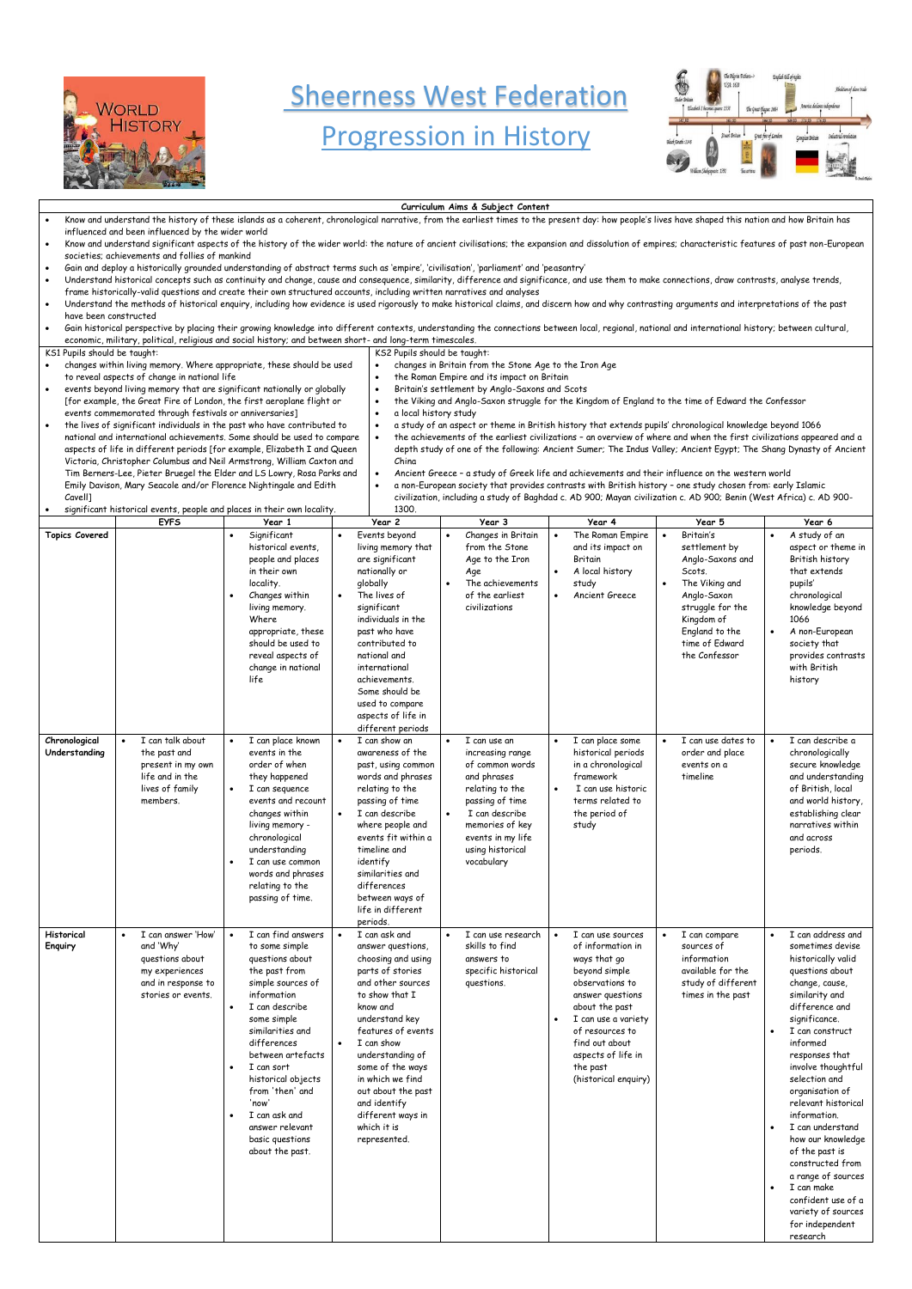

## **Sheerness West Federation**

## Progression in History

**Curriculum Aims & Subject Content**



## Know and understand the history of these islands as a coherent, chronological narrative, from the earliest times to the present day: how people's lives have shaped this nation and how Britain has influenced and been influenced by the wider world Know and understand significant aspects of the history of the wider world: the nature of ancient civilisations; the expansion and dissolution of empires; characteristic features of past non-European societies; achievements and follies of mankind • Gain and deploy a historically grounded understanding of abstract terms such as 'empire', 'civilisation', 'parliament' and 'peasantry' • Understand historical concepts such as continuity and change, cause and consequence, similarity, difference and significance, and use them to make connections, draw contrasts, analyse trends, frame historically-valid questions and create their own structured accounts, including written narratives and analyses • Understand the methods of historical enquiry, including how evidence is used rigorously to make historical claims, and discern how and why contrasting arguments and interpretations of the past have been constructed • Gain historical perspective by placing their growing knowledge into different contexts, understanding the connections between local, regional, national and international history; between cultural, economic, military, political, religious and social history; and between short- and long-term timescales. KS1 Pupils should be taught: • changes within living memory. Where appropriate, these should be used to reveal aspects of change in national life • events beyond living memory that are significant nationally or globally [for example, the Great Fire of London, the first aeroplane flight or events commemorated through festivals or anniversaries] • the lives of significant individuals in the past who have contributed to national and international achievements. Some should be used to compare aspects of life in different periods [for example, Elizabeth I and Queen Victoria, Christopher Columbus and Neil Armstrong, William Caxton and Tim Berners-Lee, Pieter Bruegel the Elder and LS Lowry, Rosa Parks and Emily Davison, Mary Seacole and/or Florence Nightingale and Edith Cavell] • significant historical events, people and places in their own locality. KS2 Pupils should be taught: • changes in Britain from the Stone Age to the Iron Age • the Roman Empire and its impact on Britain • Britain's settlement by Anglo-Saxons and Scots • the Viking and Anglo-Saxon struggle for the Kingdom of England to the time of Edward the Confessor • a local history study • a study of an aspect or theme in British history that extends pupils' chronological knowledge beyond 1066 • the achievements of the earliest civilizations – an overview of where and when the first civilizations appeared and a depth study of one of the following: Ancient Sumer; The Indus Valley; Ancient Egypt; The Shang Dynasty of Ancient China • Ancient Greece – a study of Greek life and achievements and their influence on the western world • a non-European society that provides contrasts with British history – one study chosen from: early Islamic civilization, including a study of Baghdad c. AD 900; Mayan civilization c. AD 900; Benin (West Africa) c. AD 900- 1300.

|                                | <b>EYFS</b>                                                                                             | Year 1                                                                                                                                                                                                                                                                                        | Year 2                                                                                                                                                                                                                                                                                                                       | Year 3                                                                                                                                                                                               | Year 4                                                                                                                                                                  | Year 5                                                                                                                                                                                                     | Year 6                                                                                                                                                                                                                                      |
|--------------------------------|---------------------------------------------------------------------------------------------------------|-----------------------------------------------------------------------------------------------------------------------------------------------------------------------------------------------------------------------------------------------------------------------------------------------|------------------------------------------------------------------------------------------------------------------------------------------------------------------------------------------------------------------------------------------------------------------------------------------------------------------------------|------------------------------------------------------------------------------------------------------------------------------------------------------------------------------------------------------|-------------------------------------------------------------------------------------------------------------------------------------------------------------------------|------------------------------------------------------------------------------------------------------------------------------------------------------------------------------------------------------------|---------------------------------------------------------------------------------------------------------------------------------------------------------------------------------------------------------------------------------------------|
| <b>Topics Covered</b>          |                                                                                                         | Significant<br>historical events.<br>people and places<br>in their own<br>locality.<br>Changes within<br>$\bullet$<br>living memory.<br>Where<br>appropriate, these<br>should be used to<br>reveal aspects of<br>change in national<br>life                                                   | Events beyond<br>$\bullet$<br>living memory that<br>are significant<br>nationally or<br>globally<br>The lives of<br>significant<br>individuals in the<br>past who have<br>contributed to<br>national and<br>international<br>achievements.<br>Some should be<br>used to compare<br>aspects of life in<br>different periods   | Changes in Britain<br>from the Stone<br>Age to the Iron<br>Age<br>The achievements<br>$\bullet$<br>of the earliest<br>civilizations                                                                  | The Roman Empire<br>and its impact on<br><b>Britain</b><br>A local history<br>$\bullet$<br>study<br>Ancient Greece<br>$\bullet$                                         | Britain's<br>$\bullet$<br>settlement by<br>Anglo-Saxons and<br>Scots.<br>The Viking and<br>$\bullet$<br>Anglo-Saxon<br>struggle for the<br>Kingdom of<br>England to the<br>time of Edward<br>the Confessor | A study of an<br>$\bullet$<br>aspect or theme in<br>British history<br>that extends<br>pupils'<br>chronological<br>knowledge beyond<br>1066<br>A non-European<br>$\bullet$<br>society that<br>provides contrasts<br>with British<br>history |
| Chronological<br>Understanding | I can talk about<br>the past and<br>present in my own<br>life and in the<br>lives of family<br>members. | I can place known<br>$\bullet$<br>events in the<br>order of when<br>they happened<br>I can seguence<br>events and recount<br>changes within<br>living memory -<br>chronological<br>understanding<br>I can use common<br>$\bullet$<br>words and phrases<br>relating to the<br>passing of time. | $\bullet$<br>I can show an<br>awareness of the<br>past, using common<br>words and phrases<br>relating to the<br>passing of time<br>I can describe<br>$\bullet$<br>where people and<br>events fit within a<br>timeline and<br>identify<br>similarities and<br>differences<br>between ways of<br>life in different<br>periods. | I can use an<br>increasing range<br>of common words<br>and phrases<br>relating to the<br>passing of time<br>I can describe<br>memories of key<br>events in my life<br>using historical<br>vocabulary | I can place some<br>$\bullet$<br>historical periods<br>in a chronological<br>framework<br>I can use historic<br>$\bullet$<br>terms related to<br>the period of<br>study | I can use dates to<br>order and place<br>events on a<br>timeline                                                                                                                                           | I can describe a<br>$\bullet$<br>chronologically<br>secure knowledge<br>and understanding<br>of British, local<br>and world history,<br>establishing clear<br>narratives within<br>and across<br>periods.                                   |
| Historical<br>Enquiry          | I can answer 'How'<br>and 'Why'<br>questions about<br>my experiences                                    | I can find answers<br>$\bullet$<br>to some simple<br>questions about<br>the past from                                                                                                                                                                                                         | $\bullet$<br>I can ask and<br>answer questions,<br>choosing and using<br>parts of stories                                                                                                                                                                                                                                    | I can use research<br>skills to find<br>answers to<br>specific historical                                                                                                                            | I can use sources<br>$\bullet$<br>of information in<br>ways that go<br>beyond simple                                                                                    | I can compare<br>$\bullet$<br>sources of<br>information<br>available for the                                                                                                                               | I can address and<br>$\bullet$<br>sometimes devise<br>historically valid<br>questions about                                                                                                                                                 |

and in response to stories or events.

simple sources of information I can describe some simple

similarities and differences between artefacts

• I can sort historical objects from 'then' and 'now'

• I can ask and answer relevant basic questions about the past.

and other sources to show that I know and understand key features of events • I can show understanding of some of the ways in which we find out about the past and identify different ways in which it is represented.

questions.

beyond simple observations to answer questions about the past • I can use a variety of resources to find out about aspects of life in

the past

(historical enquiry)

study of different times in the past

change, cause, similarity and difference and significance.

- I can construct informed responses that involve thoughtful selection and organisation of relevant historical information.
- I can understand how our knowledge of the past is constructed from a range of sources • I can make
	- confident use of a variety of sources for independent research